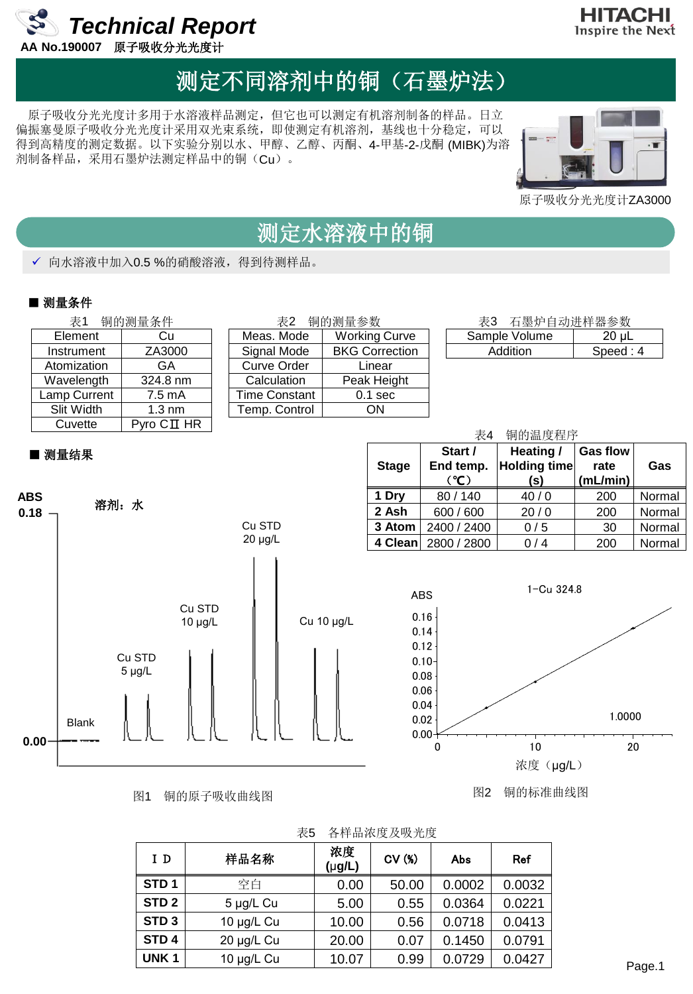

### HITACHI Inspire the Next

## 测定不同溶剂中的铜(石墨炉法)

原子吸收分光光度计多用于水溶液样品测定,但它也可以测定有机溶剂制备的样品。日立 偏振塞曼原子吸收分光光度计采用双光束系统,即使测定有机溶剂,基线也十分稳定,可以 得到高精度的测定数据。以下实验分别以水、甲醇、乙醇、丙酮、4-甲基-2-戊酮 (MIBK)为溶 剂制备样品,采用石墨炉法测定样品中的铜(Cu)。



原子吸收分光光度计ZA3000

### 测定水溶液中的铜

√ 向水溶液中加入0.5 %的硝酸溶液, 得到待测样品。

### ■ 测量条件

**Atomization** Wavelength Lamp Current Slit Width

| 铜的测量条件<br>表1      |                          | 铜的测量参数<br>表2  |                       |  | 表3 石墨炉自动进样器参数 |          |  |  |
|-------------------|--------------------------|---------------|-----------------------|--|---------------|----------|--|--|
| Element           | Cu                       | Meas. Mode    | <b>Working Curve</b>  |  | Sample Volume | 20 µL    |  |  |
| Instrument        | ZA3000                   | Signal Mode   | <b>BKG Correction</b> |  | Addition      | Speed: 4 |  |  |
| Atomization       | GA                       | Curve Order   | Linear                |  |               |          |  |  |
| <b>Navelength</b> | 324.8 nm                 | Calculation   | Peak Height           |  |               |          |  |  |
| amp Current       | 7.5 mA                   | Time Constant | $0.1$ sec             |  |               |          |  |  |
| Slit Width        | $1.3 \text{ nm}$         | Temp. Control | <b>ON</b>             |  |               |          |  |  |
| Cuvette           | $P$ yro $C\mathbf{I}$ HR |               |                       |  |               |          |  |  |

| 石墨炉自动进样器参数<br>表3 |          |
|------------------|----------|
| Sample Volume    | 20 uL    |
| Addition         | Speed: 4 |

### ■ 测量结果



图1 铜的原子吸收曲线图





图2 铜的标准曲线图

| 表5 | 各样品浓度及吸光度 |  |
|----|-----------|--|
|    |           |  |

| I D              | 样品名称       | 浓度<br>$(\mu g/L)$ | CV(%) | Abs    | Ref    |
|------------------|------------|-------------------|-------|--------|--------|
| STD <sub>1</sub> | 空白         | 0.00              | 50.00 | 0.0002 | 0.0032 |
| STD <sub>2</sub> | 5 µg/L Cu  | 5.00              | 0.55  | 0.0364 | 0.0221 |
| STD <sub>3</sub> | 10 µg/L Cu | 10.00             | 0.56  | 0.0718 | 0.0413 |
| STD <sub>4</sub> | 20 µg/L Cu | 20.00             | 0.07  | 0.1450 | 0.0791 |
| UNK <sub>1</sub> | 10 µg/L Cu | 10.07             | 0.99  | 0.0729 | 0.0427 |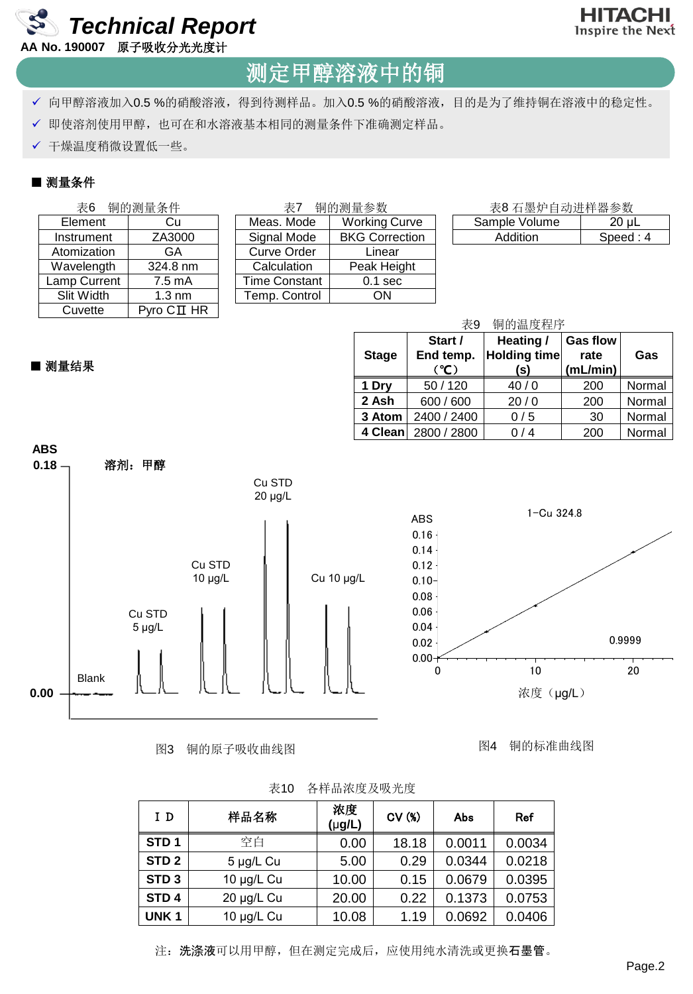



### 测定甲醇溶液中的铜

- √ 向甲醇溶液加入0.5 %的硝酸溶液, 得到待测样品。加入0.5 %的硝酸溶液, 目的是为了维持铜在溶液中的稳定性。
- 即使溶剂使用甲醇,也可在和水溶液基本相同的测量条件下准确测定样品。
- ✔ 干燥温度稍微设置低一些。

### ■ 测量条件

| 铜的测量条件<br>表6 |              | 铜的测量参数<br>表7             |               |                       | 表8石墨炉自动进样器参数 |               |            |  |  |
|--------------|--------------|--------------------------|---------------|-----------------------|--------------|---------------|------------|--|--|
|              | Element      | Cu                       | Meas. Mode    | <b>Working Curve</b>  |              | Sample Volume | $20 \mu L$ |  |  |
|              | Instrument   | ZA3000                   | Signal Mode   | <b>BKG Correction</b> |              | Addition      | Speed: 4   |  |  |
|              | Atomization  | GA                       | Curve Order   | Linear                |              |               |            |  |  |
|              | Wavelength   | 324.8 nm                 | Calculation   | Peak Height           |              |               |            |  |  |
|              | Lamp Current | $7.5 \text{ mA}$         | Time Constant | $0.1$ sec             |              |               |            |  |  |
|              | Slit Width   | $1.3 \text{ nm}$         | Temp. Control | ΟN                    |              |               |            |  |  |
|              | Cuvette      | $P$ yro $C\mathbf{I}$ HR |               |                       |              |               |            |  |  |

#### ■ 测量结果

| 铜的温度程序<br>表9 |                              |                                         |                                     |        |  |  |  |  |  |  |
|--------------|------------------------------|-----------------------------------------|-------------------------------------|--------|--|--|--|--|--|--|
| <b>Stage</b> | Start /<br>End temp.<br>(°C) | Heating /<br><b>Holding time</b><br>(s) | <b>Gas flow</b><br>rate<br>(mL/min) | Gas    |  |  |  |  |  |  |
| 1 Dry        | 50/120                       | 40/0                                    | 200                                 | Normal |  |  |  |  |  |  |
| 2 Ash        | 600 / 600                    | 20/0                                    | 200                                 | Normal |  |  |  |  |  |  |
| 3 Atom       | 2400 / 2400                  | 0/5                                     | 30                                  | Normal |  |  |  |  |  |  |
| 4 Clean      | 2800 / 2800                  | 0/4                                     | 200                                 | Normal |  |  |  |  |  |  |



#### 图3 铜的原子吸收曲线图

图4 铜的标准曲线图

| I D              | 样品名称       | 浓度<br>$(\mu g/L)$ | CV(%) | Abs    | Ref    |
|------------------|------------|-------------------|-------|--------|--------|
| STD <sub>1</sub> | 空白         | 0.00              | 18.18 | 0.0011 | 0.0034 |
| STD <sub>2</sub> | 5 µg/L Cu  | 5.00              | 0.29  | 0.0344 | 0.0218 |
| STD <sub>3</sub> | 10 µg/L Cu | 10.00             | 0.15  | 0.0679 | 0.0395 |
| STD <sub>4</sub> | 20 µg/L Cu | 20.00             | 0.22  | 0.1373 | 0.0753 |
| UNK <sub>1</sub> | 10 µg/L Cu | 10.08             | 1.19  | 0.0692 | 0.0406 |

| 表10 | 各样品浓度及吸光度 |  |
|-----|-----------|--|
|-----|-----------|--|

注: 洗涤液可以用甲醇, 但在测定完成后, 应使用纯水清洗或更换石墨管。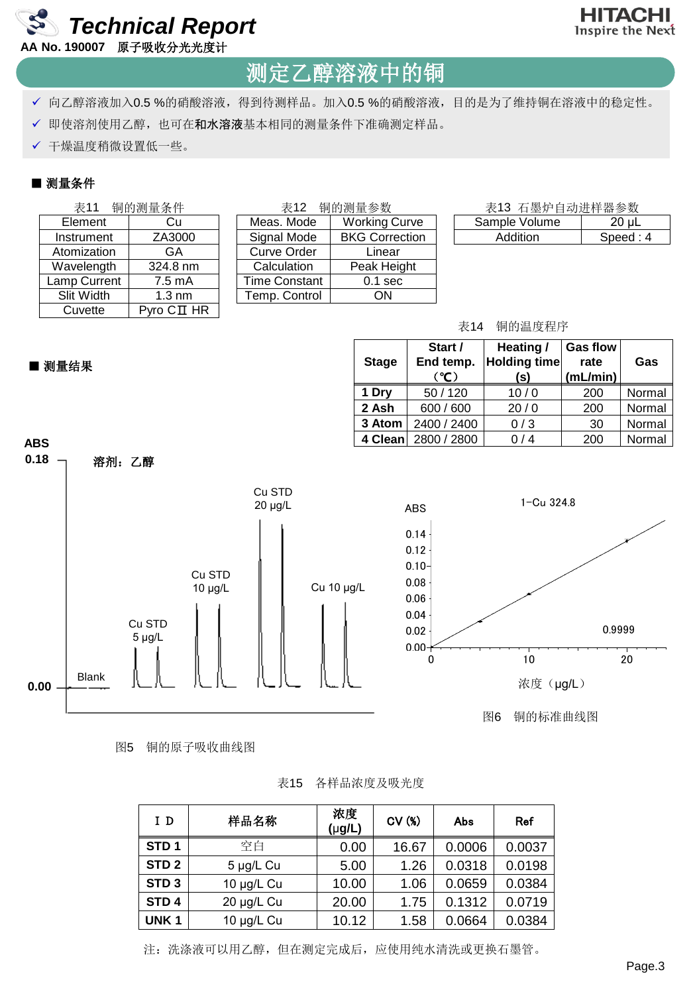

### 测定乙醇溶液中的铜

- √ 向乙醇溶液加入0.5 %的硝酸溶液, 得到待测样品。加入0.5 %的硝酸溶液, 目的是为了维持铜在溶液中的稳定性。
- ✔ 即使溶剂使用乙醇, 也可在和水溶液基本相同的测量条件下准确测定样品。
- ✔ 干燥温度稍微设置低一些。

### ■ 测量条件

| 铜的测量条件<br>表11 |              | 表12                      | 铜的测量参数        | 表13 石墨炉自动进样器参数        |               |          |
|---------------|--------------|--------------------------|---------------|-----------------------|---------------|----------|
|               | Element      | Cu                       | Meas, Mode    | <b>Working Curve</b>  | Sample Volume | $20 \mu$ |
|               | Instrument   | ZA3000                   | Signal Mode   | <b>BKG Correction</b> | Addition      | Speed: 4 |
|               | Atomization  | GA                       | Curve Order   | Linear                |               |          |
|               | Wavelength   | 324.8 nm                 | Calculation   | Peak Height           |               |          |
|               | Lamp Current | $7.5 \text{ mA}$         | Time Constant | $0.1$ sec             |               |          |
|               | Slit Width   | $1.3 \text{ nm}$         | Temp. Control | ΟN                    |               |          |
|               | Cuvette      | $P$ yro $C\mathbf{I}$ HR |               |                       |               |          |

### ■ 测量结果

| <b>Stage</b> | Start /<br>End temp.<br>(°C) | Heating /<br><b>Holding time</b><br>(s) | <b>Gas flow</b><br>rate<br>(mL/min) | Gas    |
|--------------|------------------------------|-----------------------------------------|-------------------------------------|--------|
| 1 Dry        | 50/120                       | 10/0                                    | 200                                 | Normal |
| 2 Ash        | 600 / 600                    | 20/0                                    | 200                                 | Normal |
| 3 Atom       | 2400 / 2400                  | 0/3                                     | 30                                  | Normal |
| 4 Clean      | 2800 / 2800                  | 0/4                                     | 200                                 | Normal |

表14 铜的温度程序



图5 铜的原子吸收曲线图

表15 各样品浓度及吸光度

| I D              | 样品名称       | 浓度<br>$(\mu g/L)$ | CV(%) | Abs    | Ref    |
|------------------|------------|-------------------|-------|--------|--------|
| STD <sub>1</sub> | 空白         | 0.00              | 16.67 | 0.0006 | 0.0037 |
| STD <sub>2</sub> | 5 µg/L Cu  | 5.00              | 1.26  | 0.0318 | 0.0198 |
| STD <sub>3</sub> | 10 µg/L Cu | 10.00             | 1.06  | 0.0659 | 0.0384 |
| STD <sub>4</sub> | 20 µg/L Cu | 20.00             | 1.75  | 0.1312 | 0.0719 |
| UNK <sub>1</sub> | 10 µg/L Cu | 10.12             | 1.58  | 0.0664 | 0.0384 |

注:洗涤液可以用乙醇,但在测定完成后,应使用纯水清洗或更换石墨管。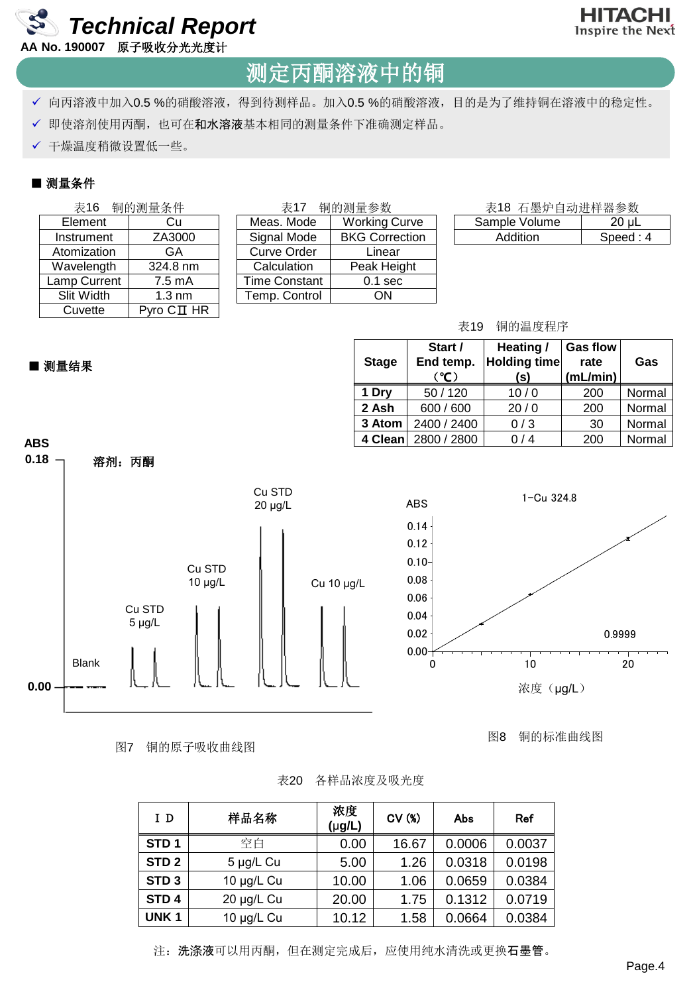



### 测定丙酮溶液中的铜

- √ 向丙溶液中加入0.5 %的硝酸溶液, 得到待测样品。加入0.5 %的硝酸溶液, 目的是为了维持铜在溶液中的稳定性。
- √ 即使溶剂使用丙酮, 也可在和水溶液基本相同的测量条件下准确测定样品。
- ✔ 干燥温度稍微设置低一些。

### ■ 测量条件

| 铜的测量条件<br>表16 |              | 表17                      | 铜的测量参数        | 表18 石墨炉自动进样器参数        |               |          |
|---------------|--------------|--------------------------|---------------|-----------------------|---------------|----------|
|               | Element      | Cu                       | Meas. Mode    | <b>Working Curve</b>  | Sample Volume | $20 \mu$ |
|               | Instrument   | ZA3000                   | Signal Mode   | <b>BKG Correction</b> | Addition      | Speed: 4 |
|               | Atomization  | GA                       | Curve Order   | Linear                |               |          |
|               | Wavelength   | 324.8 nm                 | Calculation   | Peak Height           |               |          |
|               | Lamp Current | $7.5 \text{ mA}$         | Time Constant | $0.1$ sec             |               |          |
|               | Slit Width   | $1.3 \text{ nm}$         | Temp. Control | ΟN                    |               |          |
|               | Cuvette      | $P$ yro $C\mathbf{I}$ HR |               |                       |               |          |

#### ■ 测量结果

| Start /<br>End temp.<br><b>Stage</b><br>(°C) |             | Heating /<br><b>Holding time</b><br>(s) | <b>Gas flow</b><br>rate<br>(mL/min) | Gas    |  |
|----------------------------------------------|-------------|-----------------------------------------|-------------------------------------|--------|--|
| 1 Dry                                        | 50/120      | 10/0                                    | 200                                 | Normal |  |
| 2 Ash                                        | 600 / 600   | 20/0                                    | 200                                 | Normal |  |
| 3 Atom                                       | 2400 / 2400 | 0/3                                     | 30                                  | Normal |  |
| 4 Clean                                      | 2800 / 2800 | 0/4                                     | 200                                 | Normal |  |

表19 铜的温度程序



图7 铜的原子吸收曲线图

图8 铜的标准曲线图

| 表20 | 各样品浓度及吸光度 |  |
|-----|-----------|--|
|     |           |  |

| I D              | 样品名称       | 浓度<br>$(\mu g/L)$ | CV(%) | Abs    | <b>Ref</b> |
|------------------|------------|-------------------|-------|--------|------------|
| STD <sub>1</sub> | 空白         | 0.00              | 16.67 | 0.0006 | 0.0037     |
| STD <sub>2</sub> | 5 µg/L Cu  | 5.00              | 1.26  | 0.0318 | 0.0198     |
| STD <sub>3</sub> | 10 µg/L Cu | 10.00             | 1.06  | 0.0659 | 0.0384     |
| STD <sub>4</sub> | 20 µg/L Cu | 20.00             | 1.75  | 0.1312 | 0.0719     |
| UNK <sub>1</sub> | 10 µg/L Cu | 10.12             | 1.58  | 0.0664 | 0.0384     |

注: 洗涤液可以用丙酮, 但在测定完成后, 应使用纯水清洗或更换石墨管。